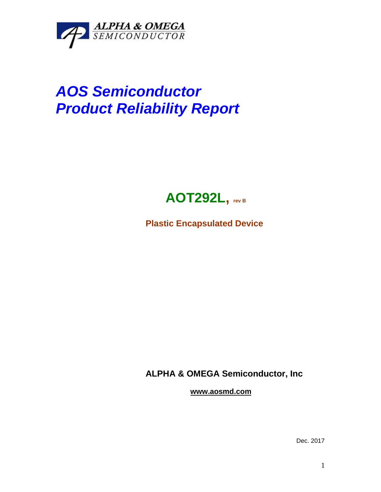

## *AOS Semiconductor Product Reliability Report*



**Plastic Encapsulated Device**

**ALPHA & OMEGA Semiconductor, Inc**

**www.aosmd.com**

Dec. 2017